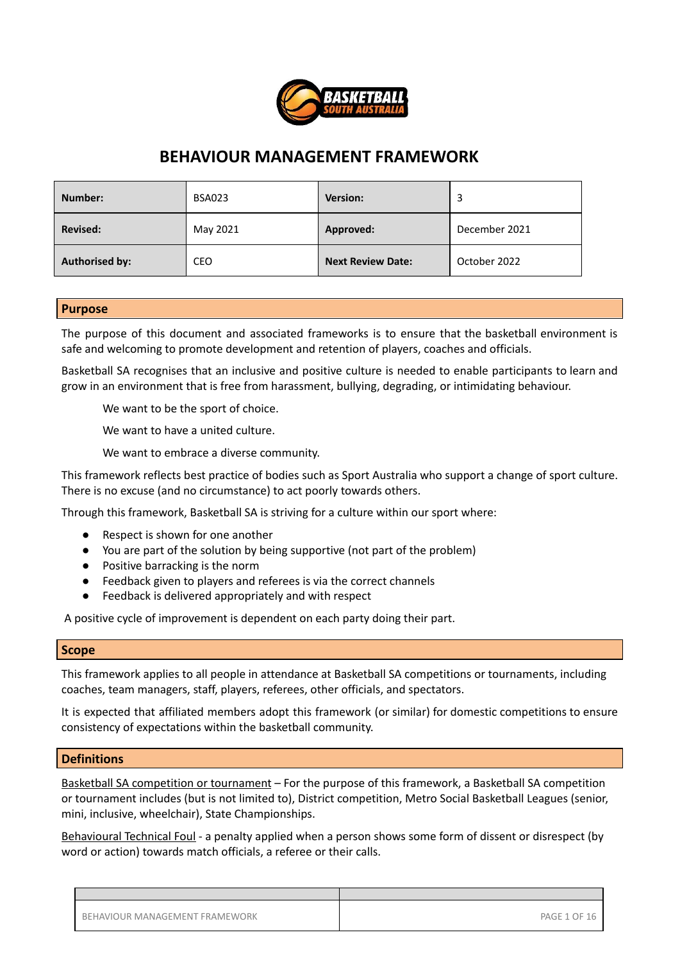

# **BEHAVIOUR MANAGEMENT FRAMEWORK**

| Number:               | <b>BSA023</b> | <b>Version:</b>          |               |
|-----------------------|---------------|--------------------------|---------------|
| <b>Revised:</b>       | May 2021      | Approved:                | December 2021 |
| <b>Authorised by:</b> | <b>CEO</b>    | <b>Next Review Date:</b> | October 2022  |

## **Purpose**

The purpose of this document and associated frameworks is to ensure that the basketball environment is safe and welcoming to promote development and retention of players, coaches and officials.

Basketball SA recognises that an inclusive and positive culture is needed to enable participants to learn and grow in an environment that is free from harassment, bullying, degrading, or intimidating behaviour.

We want to be the sport of choice.

We want to have a united culture.

We want to embrace a diverse community.

This framework reflects best practice of bodies such as Sport Australia who support a change of sport culture. There is no excuse (and no circumstance) to act poorly towards others.

Through this framework, Basketball SA is striving for a culture within our sport where:

- Respect is shown for one another
- You are part of the solution by being supportive (not part of the problem)
- Positive barracking is the norm
- Feedback given to players and referees is via the correct channels
- Feedback is delivered appropriately and with respect

A positive cycle of improvement is dependent on each party doing their part.

## **Scope**

This framework applies to all people in attendance at Basketball SA competitions or tournaments, including coaches, team managers, staff, players, referees, other officials, and spectators.

It is expected that affiliated members adopt this framework (or similar) for domestic competitions to ensure consistency of expectations within the basketball community.

## **Definitions**

Basketball SA competition or tournament – For the purpose of this framework, a Basketball SA competition or tournament includes (but is not limited to), District competition, Metro Social Basketball Leagues (senior, mini, inclusive, wheelchair), State Championships.

Behavioural Technical Foul - a penalty applied when a person shows some form of dissent or disrespect (by word or action) towards match officials, a referee or their calls.

| BEHAVIOUR MANAGEMENT FRAMEWORK |  | <b>PAGE 1 OF 16</b> |
|--------------------------------|--|---------------------|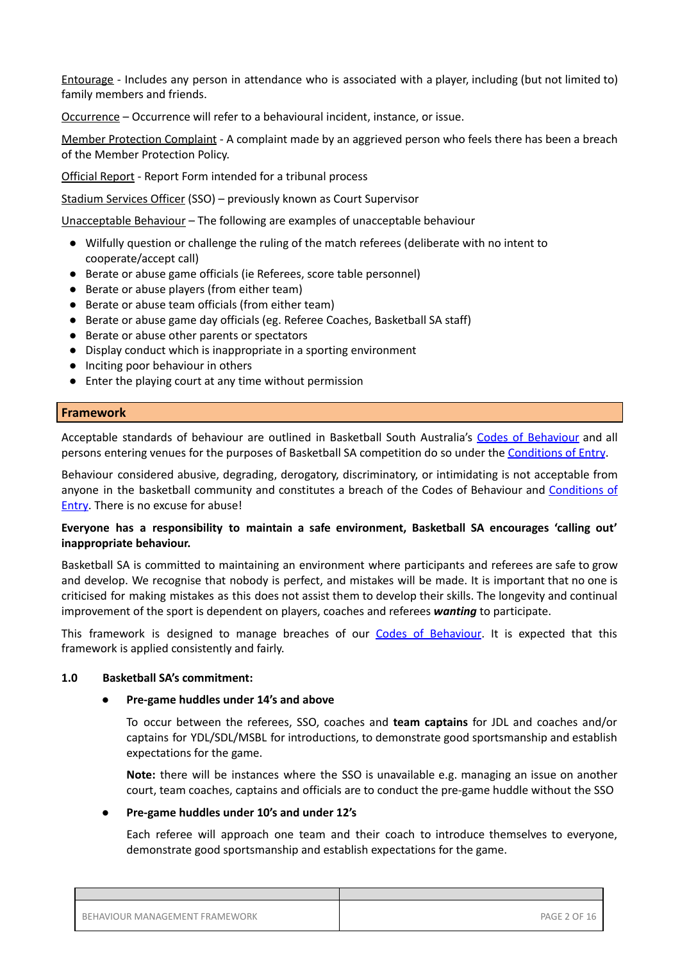Entourage - Includes any person in attendance who is associated with a player, including (but not limited to) family members and friends.

Occurrence – Occurrence will refer to a behavioural incident, instance, or issue.

Member Protection Complaint - A complaint made by an aggrieved person who feels there has been a breach of the Member Protection Policy.

Official Report - Report Form intended for a tribunal process

Stadium Services Officer (SSO) – previously known as Court Supervisor

Unacceptable Behaviour – The following are examples of unacceptable behaviour

- Wilfully question or challenge the ruling of the match referees (deliberate with no intent to cooperate/accept call)
- Berate or abuse game officials (ie Referees, score table personnel)
- Berate or abuse players (from either team)
- Berate or abuse team officials (from either team)
- Berate or abuse game day officials (eg. Referee Coaches, Basketball SA staff)
- Berate or abuse other parents or spectators
- Display conduct which is inappropriate in a sporting environment
- Inciting poor behaviour in others
- Enter the playing court at any time without permission

## **Framework**

Acceptable standards of behaviour are outlined in Basketball South Australia's Codes of [Behaviour](https://basketballsa.com.au/wp-content/uploads/2021/09/Member-Protection-Codes-of-Conduct.pdf) and all persons entering venues for the purposes of Basketball SA competition do so under the [Conditions](https://basketballsa.com.au/wp-content/uploads/2021/09/Stadium-Signage-Conditions-of-Entry-A3.pdf) of Entry.

Behaviour considered abusive, degrading, derogatory, discriminatory, or intimidating is not acceptable from anyone in the basketball community and constitutes a breach of the Codes of Behaviour and [Conditions](https://basketballsa.com.au/wp-content/uploads/2021/09/Stadium-Signage-Conditions-of-Entry-A3.pdf) of [Entry](https://basketballsa.com.au/wp-content/uploads/2021/09/Stadium-Signage-Conditions-of-Entry-A3.pdf). There is no excuse for abuse!

## **Everyone has a responsibility to maintain a safe environment, Basketball SA encourages 'calling out' inappropriate behaviour.**

Basketball SA is committed to maintaining an environment where participants and referees are safe to grow and develop. We recognise that nobody is perfect, and mistakes will be made. It is important that no one is criticised for making mistakes as this does not assist them to develop their skills. The longevity and continual improvement of the sport is dependent on players, coaches and referees *wanting* to participate.

This framework is designed to manage breaches of our Codes of [Behaviour](https://basketballsa.com.au/wp-content/uploads/2021/09/Member-Protection-Codes-of-Conduct.pdf). It is expected that this framework is applied consistently and fairly.

## **1.0 Basketball SA's commitment:**

## ● **Pre-game huddles under 14's and above**

To occur between the referees, SSO, coaches and **team captains** for JDL and coaches and/or captains for YDL/SDL/MSBL for introductions, to demonstrate good sportsmanship and establish expectations for the game.

**Note:** there will be instances where the SSO is unavailable e.g. managing an issue on another court, team coaches, captains and officials are to conduct the pre-game huddle without the SSO

## ● **Pre-game huddles under 10's and under 12's**

Each referee will approach one team and their coach to introduce themselves to everyone, demonstrate good sportsmanship and establish expectations for the game.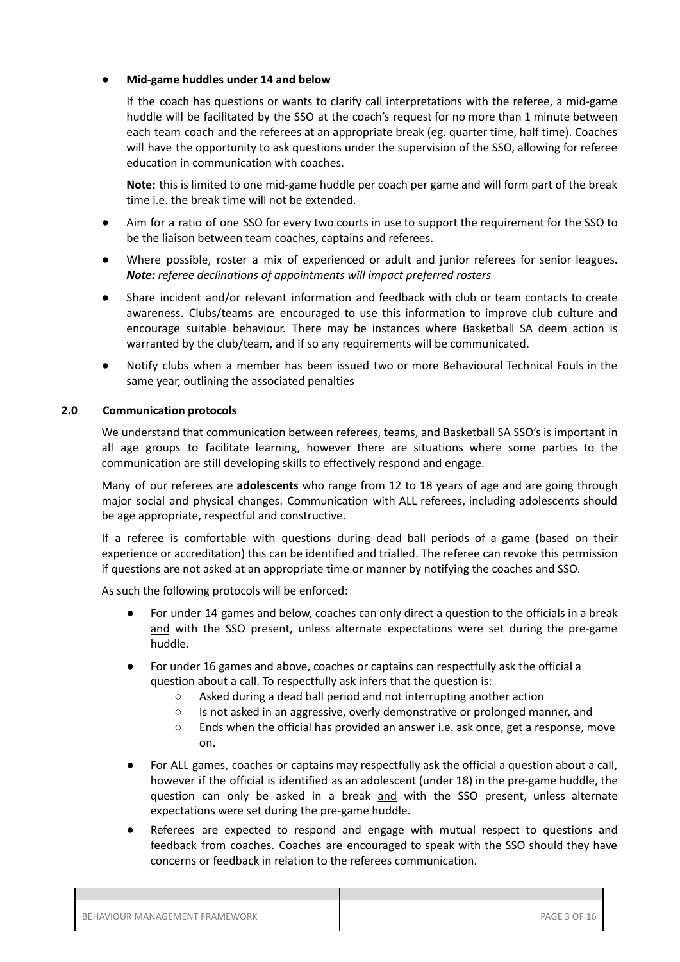## ● **Mid-game huddles under 14 and below**

If the coach has questions or wants to clarify call interpretations with the referee, a mid-game huddle will be facilitated by the SSO at the coach's request for no more than 1 minute between each team coach and the referees at an appropriate break (eg. quarter time, half time). Coaches will have the opportunity to ask questions under the supervision of the SSO, allowing for referee education in communication with coaches.

**Note:** this is limited to one mid-game huddle per coach per game and will form part of the break time i.e. the break time will not be extended.

- Aim for a ratio of one SSO for every two courts in use to support the requirement for the SSO to be the liaison between team coaches, captains and referees.
- Where possible, roster a mix of experienced or adult and junior referees for senior leagues. *Note: referee declinations of appointments will impact preferred rosters*
- Share incident and/or relevant information and feedback with club or team contacts to create awareness. Clubs/teams are encouraged to use this information to improve club culture and encourage suitable behaviour. There may be instances where Basketball SA deem action is warranted by the club/team, and if so any requirements will be communicated.
- Notify clubs when a member has been issued two or more Behavioural Technical Fouls in the same year, outlining the associated penalties

## **2.0 Communication protocols**

We understand that communication between referees, teams, and Basketball SA SSO's is important in all age groups to facilitate learning, however there are situations where some parties to the communication are still developing skills to effectively respond and engage.

Many of our referees are **adolescents** who range from 12 to 18 years of age and are going through major social and physical changes. Communication with ALL referees, including adolescents should be age appropriate, respectful and constructive.

If a referee is comfortable with questions during dead ball periods of a game (based on their experience or accreditation) this can be identified and trialled. The referee can revoke this permission if questions are not asked at an appropriate time or manner by notifying the coaches and SSO.

As such the following protocols will be enforced:

- For under 14 games and below, coaches can only direct a question to the officials in a break and with the SSO present, unless alternate expectations were set during the pre-game huddle.
- For under 16 games and above, coaches or captains can respectfully ask the official a question about a call. To respectfully ask infers that the question is:
	- Asked during a dead ball period and not interrupting another action
	- Is not asked in an aggressive, overly demonstrative or prolonged manner, and
	- Ends when the official has provided an answer i.e. ask once, get a response, move on.
- For ALL games, coaches or captains may respectfully ask the official a question about a call, however if the official is identified as an adolescent (under 18) in the pre-game huddle, the question can only be asked in a break and with the SSO present, unless alternate expectations were set during the pre-game huddle.
- Referees are expected to respond and engage with mutual respect to questions and feedback from coaches. Coaches are encouraged to speak with the SSO should they have concerns or feedback in relation to the referees communication.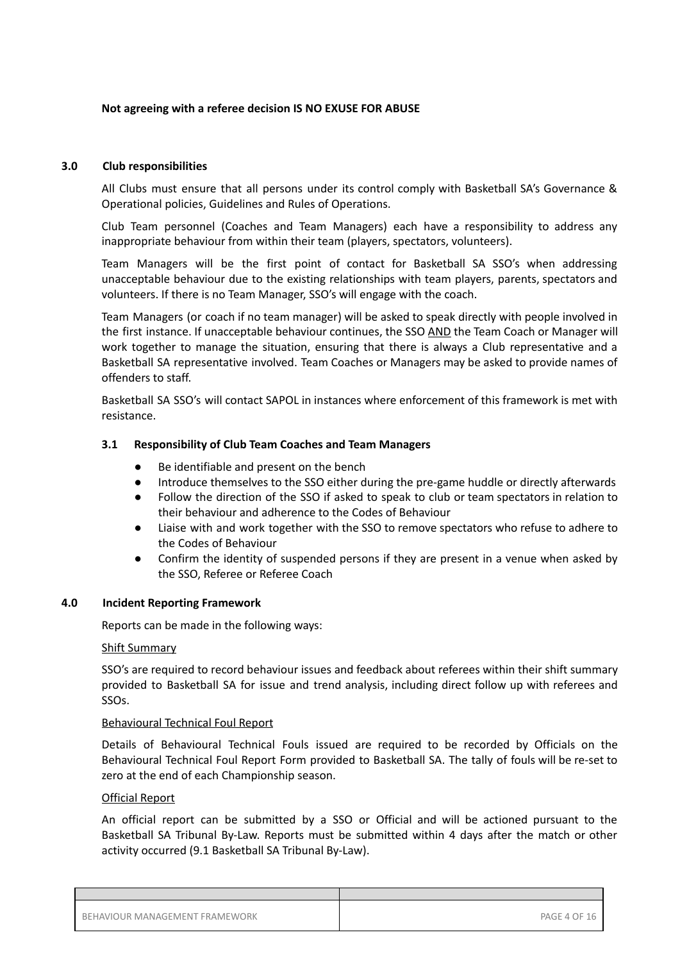## **Not agreeing with a referee decision IS NO EXUSE FOR ABUSE**

#### **3.0 Club responsibilities**

All Clubs must ensure that all persons under its control comply with Basketball SA's Governance & Operational policies, Guidelines and Rules of Operations.

Club Team personnel (Coaches and Team Managers) each have a responsibility to address any inappropriate behaviour from within their team (players, spectators, volunteers).

Team Managers will be the first point of contact for Basketball SA SSO's when addressing unacceptable behaviour due to the existing relationships with team players, parents, spectators and volunteers. If there is no Team Manager, SSO's will engage with the coach.

Team Managers (or coach if no team manager) will be asked to speak directly with people involved in the first instance. If unacceptable behaviour continues, the SSO AND the Team Coach or Manager will work together to manage the situation, ensuring that there is always a Club representative and a Basketball SA representative involved. Team Coaches or Managers may be asked to provide names of offenders to staff.

Basketball SA SSO's will contact SAPOL in instances where enforcement of this framework is met with resistance.

### **3.1 Responsibility of Club Team Coaches and Team Managers**

- **●** Be identifiable and present on the bench
- **●** Introduce themselves to the SSO either during the pre-game huddle or directly afterwards
- Follow the direction of the SSO if asked to speak to club or team spectators in relation to their behaviour and adherence to the Codes of Behaviour
- **●** Liaise with and work together with the SSO to remove spectators who refuse to adhere to the Codes of Behaviour
- **●** Confirm the identity of suspended persons if they are present in a venue when asked by the SSO, Referee or Referee Coach

#### **4.0 Incident Reporting Framework**

Reports can be made in the following ways:

#### Shift Summary

SSO's are required to record behaviour issues and feedback about referees within their shift summary provided to Basketball SA for issue and trend analysis, including direct follow up with referees and SSOs.

#### Behavioural Technical Foul Report

Details of Behavioural Technical Fouls issued are required to be recorded by Officials on the Behavioural Technical Foul Report Form provided to Basketball SA. The tally of fouls will be re-set to zero at the end of each Championship season.

#### Official Report

An official report can be submitted by a SSO or Official and will be actioned pursuant to the Basketball SA Tribunal By-Law. Reports must be submitted within 4 days after the match or other activity occurred (9.1 Basketball SA Tribunal By-Law).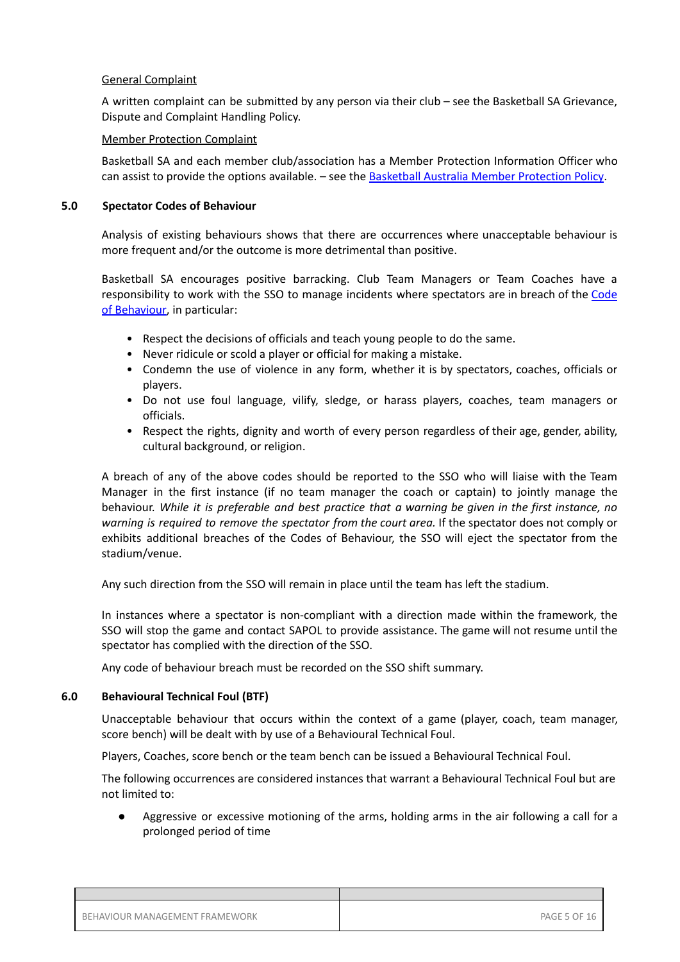## General Complaint

A written complaint can be submitted by any person via their club – see the Basketball SA Grievance, Dispute and Complaint Handling Policy.

### Member Protection Complaint

Basketball SA and each member club/association has a Member Protection Information Officer who can assist to provide the options available. – see the Basketball Australia Member [Protection](https://australia.basketball/wp-content/uploads/2018/06/BA-Member-Protection-Policy-Revised-June-2018.pdf) Policy.

### **5.0 Spectator Codes of Behaviour**

Analysis of existing behaviours shows that there are occurrences where unacceptable behaviour is more frequent and/or the outcome is more detrimental than positive.

Basketball SA encourages positive barracking. Club Team Managers or Team Coaches have a responsibility to work with the SSO to manage incidents where spectators are in breach of the [Code](https://basketballsa.com.au/wp-content/uploads/2021/09/Member-Protection-Codes-of-Conduct.pdf) [of Behaviour](https://basketballsa.com.au/wp-content/uploads/2021/09/Member-Protection-Codes-of-Conduct.pdf), in particular:

- Respect the decisions of officials and teach young people to do the same.
- Never ridicule or scold a player or official for making a mistake.
- Condemn the use of violence in any form, whether it is by spectators, coaches, officials or players.
- Do not use foul language, vilify, sledge, or harass players, coaches, team managers or officials.
- Respect the rights, dignity and worth of every person regardless of their age, gender, ability, cultural background, or religion.

A breach of any of the above codes should be reported to the SSO who will liaise with the Team Manager in the first instance (if no team manager the coach or captain) to jointly manage the behaviour. *While it is preferable and best practice that a warning be given in the first instance, no warning is required to remove the spectator from the court area.* If the spectator does not comply or exhibits additional breaches of the Codes of Behaviour, the SSO will eject the spectator from the stadium/venue.

Any such direction from the SSO will remain in place until the team has left the stadium.

In instances where a spectator is non-compliant with a direction made within the framework, the SSO will stop the game and contact SAPOL to provide assistance. The game will not resume until the spectator has complied with the direction of the SSO.

Any code of behaviour breach must be recorded on the SSO shift summary.

## **6.0 Behavioural Technical Foul (BTF)**

Unacceptable behaviour that occurs within the context of a game (player, coach, team manager, score bench) will be dealt with by use of a Behavioural Technical Foul.

Players, Coaches, score bench or the team bench can be issued a Behavioural Technical Foul.

The following occurrences are considered instances that warrant a Behavioural Technical Foul but are not limited to:

Aggressive or excessive motioning of the arms, holding arms in the air following a call for a prolonged period of time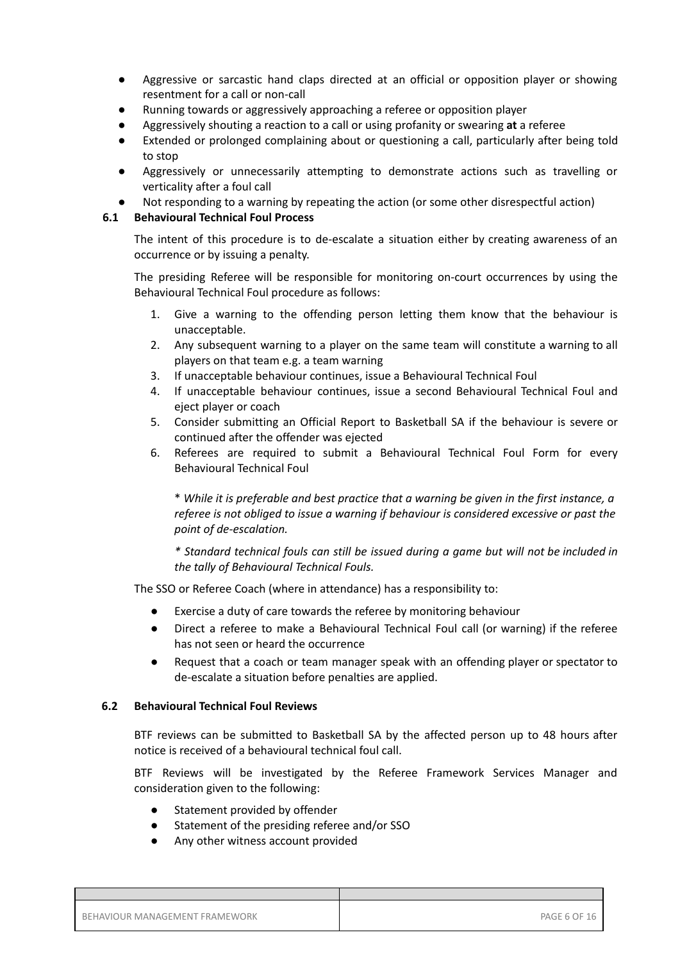- Aggressive or sarcastic hand claps directed at an official or opposition player or showing resentment for a call or non-call
- Running towards or aggressively approaching a referee or opposition player
- Aggressively shouting a reaction to a call or using profanity or swearing **at** a referee
- Extended or prolonged complaining about or questioning a call, particularly after being told to stop
- Aggressively or unnecessarily attempting to demonstrate actions such as travelling or verticality after a foul call
- Not responding to a warning by repeating the action (or some other disrespectful action)

## **6.1 Behavioural Technical Foul Process**

The intent of this procedure is to de-escalate a situation either by creating awareness of an occurrence or by issuing a penalty.

The presiding Referee will be responsible for monitoring on-court occurrences by using the Behavioural Technical Foul procedure as follows:

- 1. Give a warning to the offending person letting them know that the behaviour is unacceptable.
- 2. Any subsequent warning to a player on the same team will constitute a warning to all players on that team e.g. a team warning
- 3. If unacceptable behaviour continues, issue a Behavioural Technical Foul
- 4. If unacceptable behaviour continues, issue a second Behavioural Technical Foul and eject player or coach
- 5. Consider submitting an Official Report to Basketball SA if the behaviour is severe or continued after the offender was ejected
- 6. Referees are required to submit a Behavioural Technical Foul Form for every Behavioural Technical Foul

\* *While it is preferable and best practice that a warning be given in the first instance, a referee is not obliged to issue a warning if behaviour is considered excessive or past the point of de-escalation.*

*\* Standard technical fouls can still be issued during a game but will not be included in the tally of Behavioural Technical Fouls.*

The SSO or Referee Coach (where in attendance) has a responsibility to:

- Exercise a duty of care towards the referee by monitoring behaviour
- Direct a referee to make a Behavioural Technical Foul call (or warning) if the referee has not seen or heard the occurrence
- Request that a coach or team manager speak with an offending player or spectator to de-escalate a situation before penalties are applied.

## **6.2 Behavioural Technical Foul Reviews**

BTF reviews can be submitted to Basketball SA by the affected person up to 48 hours after notice is received of a behavioural technical foul call.

BTF Reviews will be investigated by the Referee Framework Services Manager and consideration given to the following:

- Statement provided by offender
- Statement of the presiding referee and/or SSO
- Any other witness account provided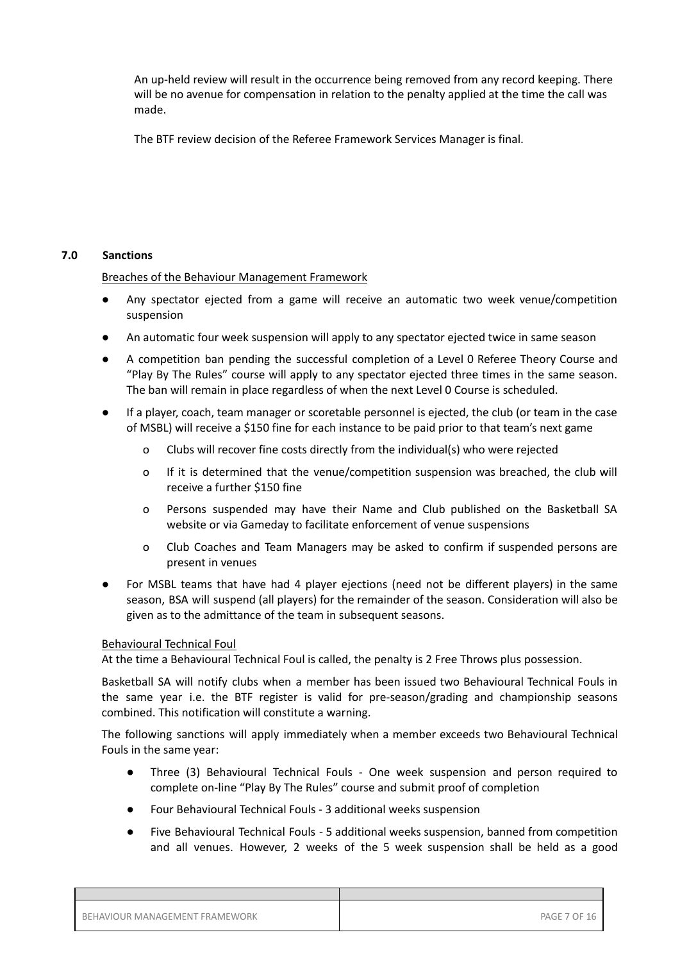An up-held review will result in the occurrence being removed from any record keeping. There will be no avenue for compensation in relation to the penalty applied at the time the call was made.

The BTF review decision of the Referee Framework Services Manager is final.

## **7.0 Sanctions**

Breaches of the Behaviour Management Framework

- Any spectator ejected from a game will receive an automatic two week venue/competition suspension
- An automatic four week suspension will apply to any spectator ejected twice in same season
- A competition ban pending the successful completion of a Level 0 Referee Theory Course and "Play By The Rules" course will apply to any spectator ejected three times in the same season. The ban will remain in place regardless of when the next Level 0 Course is scheduled.
- If a player, coach, team manager or scoretable personnel is ejected, the club (or team in the case of MSBL) will receive a \$150 fine for each instance to be paid prior to that team's next game
	- o Clubs will recover fine costs directly from the individual(s) who were rejected
	- o If it is determined that the venue/competition suspension was breached, the club will receive a further \$150 fine
	- o Persons suspended may have their Name and Club published on the Basketball SA website or via Gameday to facilitate enforcement of venue suspensions
	- o Club Coaches and Team Managers may be asked to confirm if suspended persons are present in venues
- For MSBL teams that have had 4 player ejections (need not be different players) in the same season, BSA will suspend (all players) for the remainder of the season. Consideration will also be given as to the admittance of the team in subsequent seasons.

## Behavioural Technical Foul

At the time a Behavioural Technical Foul is called, the penalty is 2 Free Throws plus possession.

Basketball SA will notify clubs when a member has been issued two Behavioural Technical Fouls in the same year i.e. the BTF register is valid for pre-season/grading and championship seasons combined. This notification will constitute a warning.

The following sanctions will apply immediately when a member exceeds two Behavioural Technical Fouls in the same year:

- Three (3) Behavioural Technical Fouls One week suspension and person required to complete on-line "Play By The Rules" course and submit proof of completion
- Four Behavioural Technical Fouls 3 additional weeks suspension
- Five Behavioural Technical Fouls 5 additional weeks suspension, banned from competition and all venues. However, 2 weeks of the 5 week suspension shall be held as a good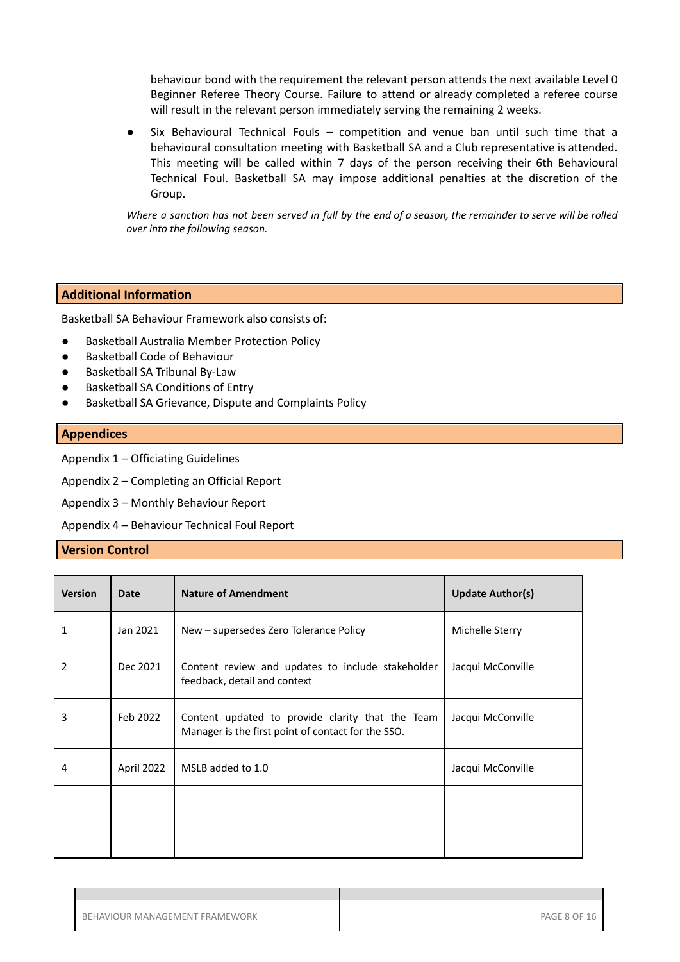behaviour bond with the requirement the relevant person attends the next available Level 0 Beginner Referee Theory Course. Failure to attend or already completed a referee course will result in the relevant person immediately serving the remaining 2 weeks.

Six Behavioural Technical Fouls – competition and venue ban until such time that a behavioural consultation meeting with Basketball SA and a Club representative is attended. This meeting will be called within 7 days of the person receiving their 6th Behavioural Technical Foul. Basketball SA may impose additional penalties at the discretion of the Group.

Where a sanction has not been served in full by the end of a season, the remainder to serve will be rolled *over into the following season.*

# **Additional Information**

Basketball SA Behaviour Framework also consists of:

- Basketball Australia Member Protection Policy
- Basketball Code of Behaviour
- Basketball SA Tribunal By-Law
- **Basketball SA Conditions of Entry**
- Basketball SA Grievance, Dispute and Complaints Policy

### **Appendices**

Appendix 1 – Officiating Guidelines

Appendix 2 – Completing an Official Report

Appendix 3 – Monthly Behaviour Report

Appendix 4 – Behaviour Technical Foul Report

## **Version Control**

| <b>Version</b> | Date       | <b>Nature of Amendment</b>                                                                             | <b>Update Author(s)</b> |
|----------------|------------|--------------------------------------------------------------------------------------------------------|-------------------------|
|                | Jan 2021   | New – supersedes Zero Tolerance Policy                                                                 | Michelle Sterry         |
| 2              | Dec 2021   | Content review and updates to include stakeholder<br>feedback, detail and context                      | Jacqui McConville       |
| 3              | Feb 2022   | Content updated to provide clarity that the Team<br>Manager is the first point of contact for the SSO. | Jacqui McConville       |
| 4              | April 2022 | MSLB added to 1.0                                                                                      | Jacqui McConville       |
|                |            |                                                                                                        |                         |
|                |            |                                                                                                        |                         |

| BEHAVIOUR MANAGEMENT FRAMEWORK | <b>PAGE 8 OF 16</b> |
|--------------------------------|---------------------|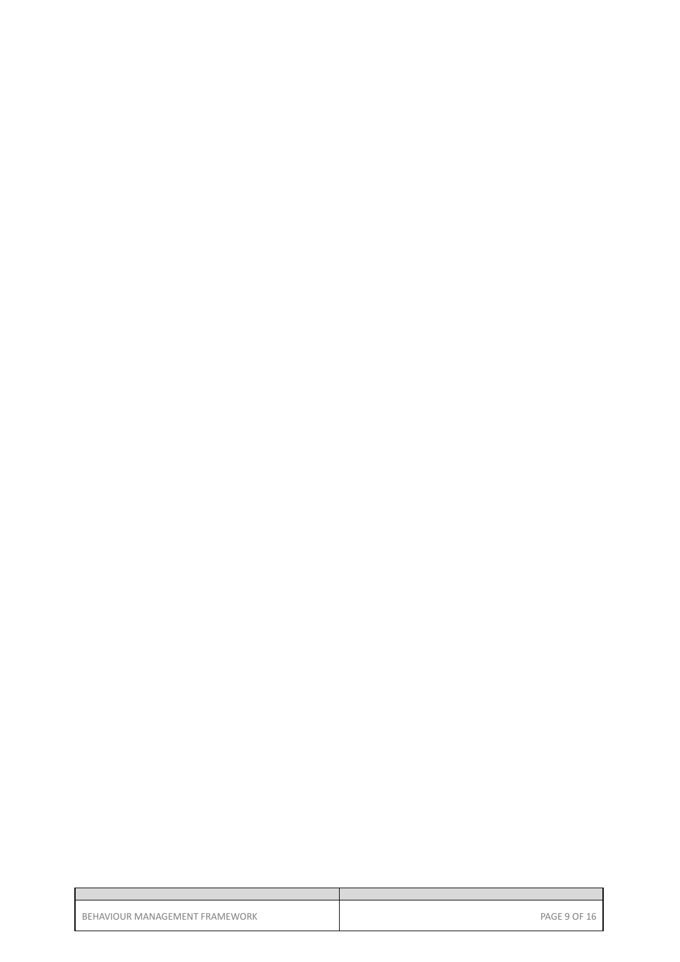| BEHAVIOUR MANAGEMENT FRAMEWORK | <b>PAGE 9 OF 16</b> |
|--------------------------------|---------------------|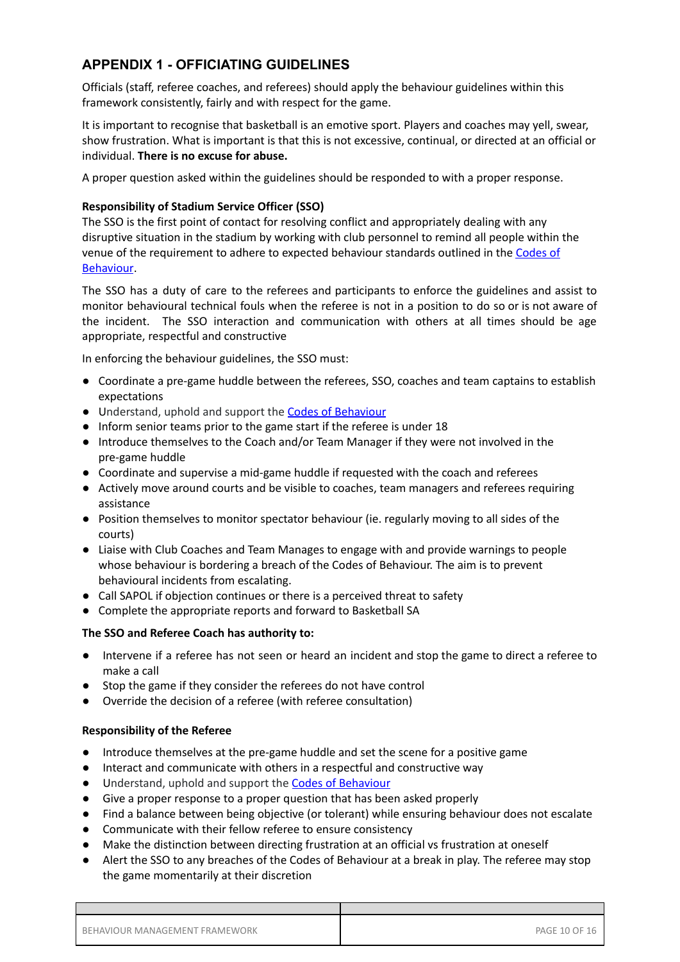# **APPENDIX 1 - OFFICIATING GUIDELINES**

Officials (staff, referee coaches, and referees) should apply the behaviour guidelines within this framework consistently, fairly and with respect for the game.

It is important to recognise that basketball is an emotive sport. Players and coaches may yell, swear, show frustration. What is important is that this is not excessive, continual, or directed at an official or individual. **There is no excuse for abuse.**

A proper question asked within the guidelines should be responded to with a proper response.

# **Responsibility of Stadium Service Officer (SSO)**

The SSO is the first point of contact for resolving conflict and appropriately dealing with any disruptive situation in the stadium by working with club personnel to remind all people within the venue of the requirement to adhere to expected behaviour standards outlined in the [Codes](https://basketballsa.com.au/wp-content/uploads/2021/09/Member-Protection-Codes-of-Conduct.pdf) of [Behaviour](https://basketballsa.com.au/wp-content/uploads/2021/09/Member-Protection-Codes-of-Conduct.pdf).

The SSO has a duty of care to the referees and participants to enforce the guidelines and assist to monitor behavioural technical fouls when the referee is not in a position to do so or is not aware of the incident. The SSO interaction and communication with others at all times should be age appropriate, respectful and constructive

In enforcing the behaviour guidelines, the SSO must:

- Coordinate a pre-game huddle between the referees, SSO, coaches and team captains to establish expectations
- Understand, uphold and support the Codes [of Behaviour](https://basketballsa.com.au/wp-content/uploads/2021/09/Member-Protection-Codes-of-Conduct.pdf)
- Inform senior teams prior to the game start if the referee is under 18
- Introduce themselves to the Coach and/or Team Manager if they were not involved in the pre-game huddle
- Coordinate and supervise a mid-game huddle if requested with the coach and referees
- Actively move around courts and be visible to coaches, team managers and referees requiring assistance
- Position themselves to monitor spectator behaviour (ie. regularly moving to all sides of the courts)
- Liaise with Club Coaches and Team Manages to engage with and provide warnings to people whose behaviour is bordering a breach of the Codes of Behaviour. The aim is to prevent behavioural incidents from escalating.
- Call SAPOL if objection continues or there is a perceived threat to safety
- Complete the appropriate reports and forward to Basketball SA

## **The SSO and Referee Coach has authority to:**

- Intervene if a referee has not seen or heard an incident and stop the game to direct a referee to make a call
- Stop the game if they consider the referees do not have control
- Override the decision of a referee (with referee consultation)

## **Responsibility of the Referee**

- Introduce themselves at the pre-game huddle and set the scene for a positive game
- Interact and communicate with others in a respectful and constructive way
- Understand, uphold and support the Codes [of Behaviour](https://basketballsa.com.au/wp-content/uploads/2021/09/Member-Protection-Codes-of-Conduct.pdf)
- Give a proper response to a proper question that has been asked properly
- Find a balance between being objective (or tolerant) while ensuring behaviour does not escalate
- Communicate with their fellow referee to ensure consistency
- Make the distinction between directing frustration at an official vs frustration at oneself
- Alert the SSO to any breaches of the Codes of Behaviour at a break in play. The referee may stop the game momentarily at their discretion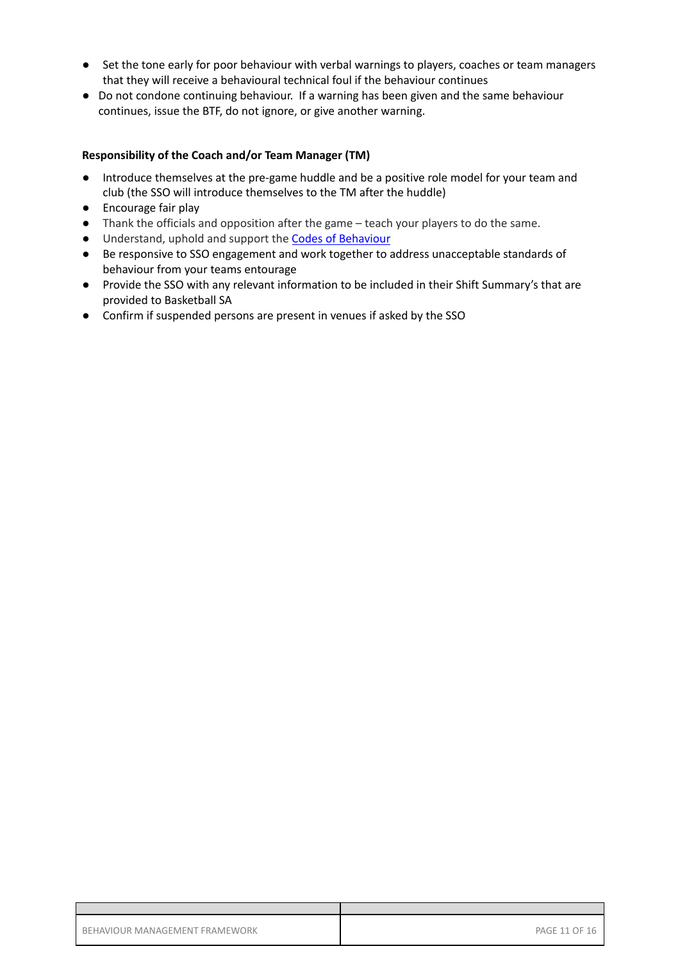- Set the tone early for poor behaviour with verbal warnings to players, coaches or team managers that they will receive a behavioural technical foul if the behaviour continues
- Do not condone continuing behaviour. If a warning has been given and the same behaviour continues, issue the BTF, do not ignore, or give another warning.

## **Responsibility of the Coach and/or Team Manager (TM)**

- Introduce themselves at the pre-game huddle and be a positive role model for your team and club (the SSO will introduce themselves to the TM after the huddle)
- Encourage fair play
- Thank the officials and opposition after the game teach your players to do the same.
- Understand, uphold and support the Codes [of Behaviour](https://basketballsa.com.au/wp-content/uploads/2021/09/Member-Protection-Codes-of-Conduct.pdf)
- Be responsive to SSO engagement and work together to address unacceptable standards of behaviour from your teams entourage
- Provide the SSO with any relevant information to be included in their Shift Summary's that are provided to Basketball SA
- Confirm if suspended persons are present in venues if asked by the SSO

| BEHAVIOUR MANAGEMENT FRAMEWORK | PAGE 11 OF 16 |
|--------------------------------|---------------|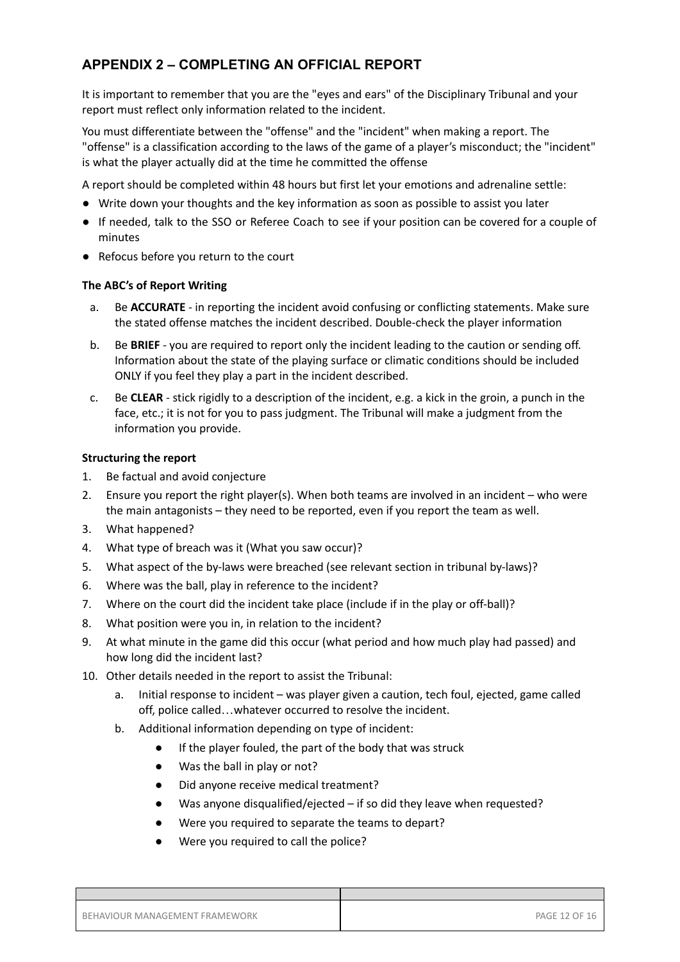# **APPENDIX 2 – COMPLETING AN OFFICIAL REPORT**

It is important to remember that you are the "eyes and ears" of the Disciplinary Tribunal and your report must reflect only information related to the incident.

You must differentiate between the "offense" and the "incident" when making a report. The "offense" is a classification according to the laws of the game of a player's misconduct; the "incident" is what the player actually did at the time he committed the offense

A report should be completed within 48 hours but first let your emotions and adrenaline settle:

- Write down your thoughts and the key information as soon as possible to assist you later
- If needed, talk to the SSO or Referee Coach to see if your position can be covered for a couple of minutes
- Refocus before you return to the court

## **The ABC's of Report Writing**

- a. Be **ACCURATE** in reporting the incident avoid confusing or conflicting statements. Make sure the stated offense matches the incident described. Double-check the player information
- b. Be **BRIEF** you are required to report only the incident leading to the caution or sending off. Information about the state of the playing surface or climatic conditions should be included ONLY if you feel they play a part in the incident described.
- c. Be **CLEAR** stick rigidly to a description of the incident, e.g. a kick in the groin, a punch in the face, etc.; it is not for you to pass judgment. The Tribunal will make a judgment from the information you provide.

## **Structuring the report**

- 1. Be factual and avoid conjecture
- 2. Ensure you report the right player(s). When both teams are involved in an incident who were the main antagonists – they need to be reported, even if you report the team as well.
- 3. What happened?
- 4. What type of breach was it (What you saw occur)?
- 5. What aspect of the by-laws were breached (see relevant section in tribunal by-laws)?
- 6. Where was the ball, play in reference to the incident?
- 7. Where on the court did the incident take place (include if in the play or off-ball)?
- 8. What position were you in, in relation to the incident?
- 9. At what minute in the game did this occur (what period and how much play had passed) and how long did the incident last?
- 10. Other details needed in the report to assist the Tribunal:
	- a. Initial response to incident was player given a caution, tech foul, ejected, game called off, police called…whatever occurred to resolve the incident.
	- b. Additional information depending on type of incident:
		- If the player fouled, the part of the body that was struck
		- Was the ball in play or not?
		- Did anyone receive medical treatment?
		- Was anyone disqualified/ejected if so did they leave when requested?
		- Were you required to separate the teams to depart?
		- Were you required to call the police?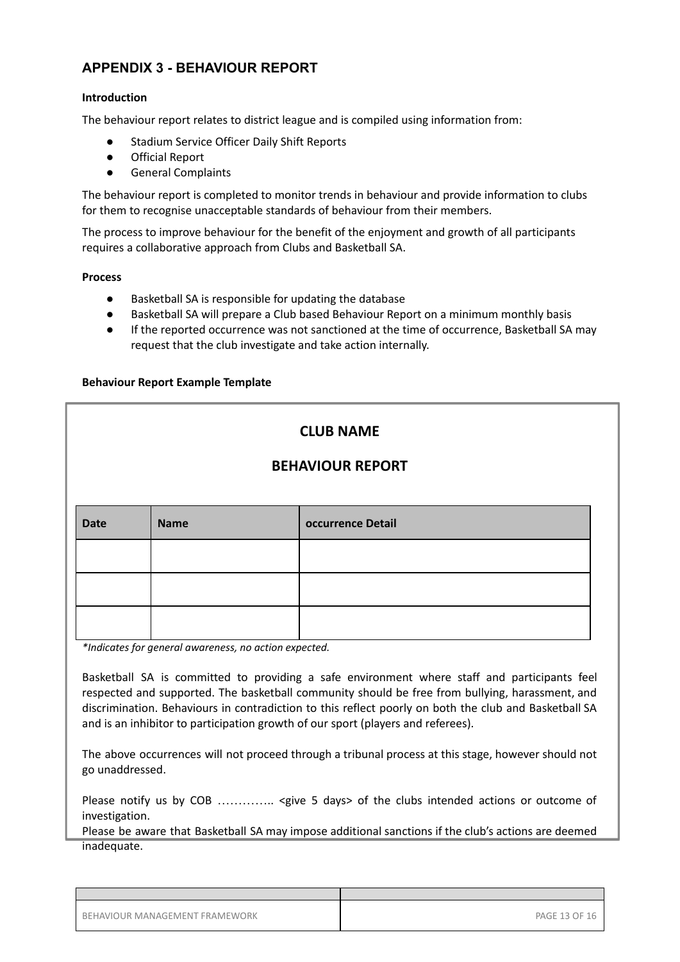# **APPENDIX 3 - BEHAVIOUR REPORT**

## **Introduction**

The behaviour report relates to district league and is compiled using information from:

- Stadium Service Officer Daily Shift Reports
- Official Report
- General Complaints

The behaviour report is completed to monitor trends in behaviour and provide information to clubs for them to recognise unacceptable standards of behaviour from their members.

The process to improve behaviour for the benefit of the enjoyment and growth of all participants requires a collaborative approach from Clubs and Basketball SA.

### **Process**

- Basketball SA is responsible for updating the database
- Basketball SA will prepare a Club based Behaviour Report on a minimum monthly basis
- If the reported occurrence was not sanctioned at the time of occurrence, Basketball SA may request that the club investigate and take action internally.

## **Behaviour Report Example Template**

# **CLUB NAME**

# **BEHAVIOUR REPORT**

| <b>Date</b> | <b>Name</b> | occurrence Detail |
|-------------|-------------|-------------------|
|             |             |                   |
|             |             |                   |
|             |             |                   |

*\*Indicates for general awareness, no action expected.*

Basketball SA is committed to providing a safe environment where staff and participants feel respected and supported. The basketball community should be free from bullying, harassment, and discrimination. Behaviours in contradiction to this reflect poorly on both the club and Basketball SA and is an inhibitor to participation growth of our sport (players and referees).

The above occurrences will not proceed through a tribunal process at this stage, however should not go unaddressed.

Please notify us by COB .............. < give 5 days> of the clubs intended actions or outcome of investigation.

Please be aware that Basketball SA may impose additional sanctions if the club's actions are deemed inadequate.

| <b>BEHAVIOUR MANAGEMENT FRAMEWORK</b> |  |
|---------------------------------------|--|
|                                       |  |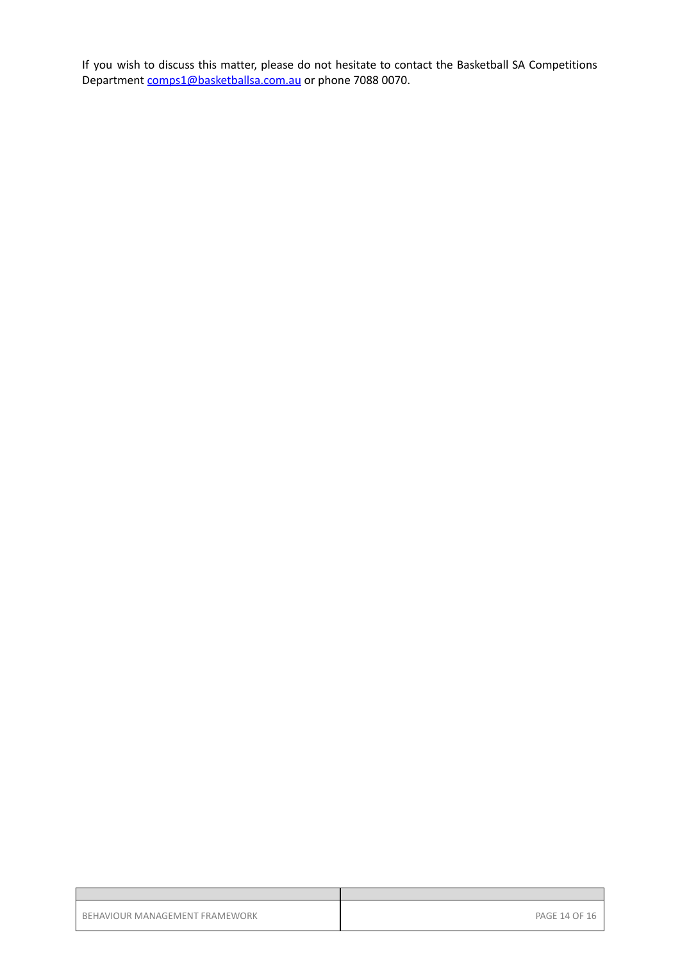If you wish to discuss this matter, please do not hesitate to contact the Basketball SA Competitions Department [comps1@basketballsa.com.au](mailto:comps1@basketballsa.com.au) or phone 7088 0070.

| BEHAVIOUR MANAGEMENT FRAMEWORK | <b>PAGE 14 OF 16</b> |
|--------------------------------|----------------------|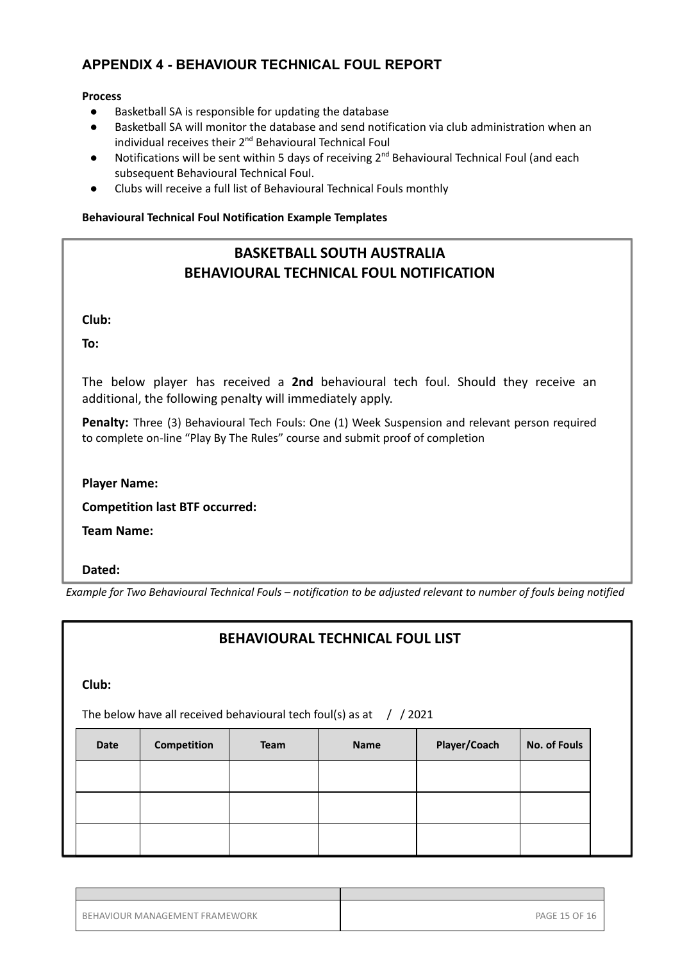# **APPENDIX 4 - BEHAVIOUR TECHNICAL FOUL REPORT**

## **Process**

- Basketball SA is responsible for updating the database
- Basketball SA will monitor the database and send notification via club administration when an individual receives their 2<sup>nd</sup> Behavioural Technical Foul
- $\bullet$  Notifications will be sent within 5 days of receiving  $2^{nd}$  Behavioural Technical Foul (and each subsequent Behavioural Technical Foul.
- Clubs will receive a full list of Behavioural Technical Fouls monthly

## **Behavioural Technical Foul Notification Example Templates**

# **BASKETBALL SOUTH AUSTRALIA BEHAVIOURAL TECHNICAL FOUL NOTIFICATION**

**Club:**

**To:**

The below player has received a **2nd** behavioural tech foul. Should they receive an additional, the following penalty will immediately apply.

**Penalty:** Three (3) Behavioural Tech Fouls: One (1) Week Suspension and relevant person required to complete on-line "Play By The Rules" course and submit proof of completion

**Player Name:**

**Competition last BTF occurred:**

**Team Name:**

# **Dated:**

*Example for Two Behavioural Technical Fouls – notification to be adjusted relevant to number of fouls being notified*

# **BEHAVIOURAL TECHNICAL FOUL LIST**

**Club:**

The below have all received behavioural tech foul(s) as at  $\frac{1}{2021}$ 

| <b>Date</b> | <b>Competition</b> | <b>Team</b> | <b>Name</b> | Player/Coach | <b>No. of Fouls</b> |
|-------------|--------------------|-------------|-------------|--------------|---------------------|
|             |                    |             |             |              |                     |
|             |                    |             |             |              |                     |
|             |                    |             |             |              |                     |

| L BEHAVIOUR MANAGEMENT FRAMEWORK. | PAGE 15 OF 16 |
|-----------------------------------|---------------|